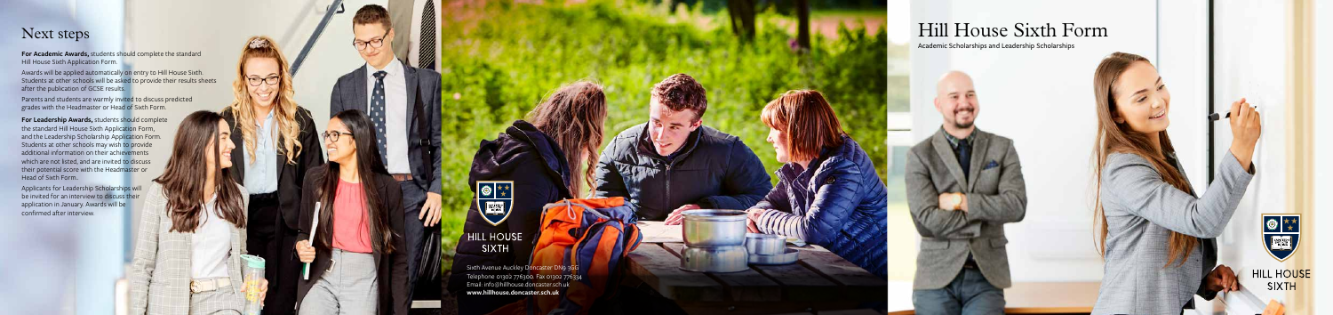# Hill House Sixth Form

Academic Scholarships and Leadership Scholarships



HILL HOUSE SIXTH

**For Academic Awards,** students should complete the standard Hill House Sixth Application Form.

**For Leadership Awards,** students should complete the standard Hill House Sixth Application Form, and the Leadership Scholarship Application Form. Students at other schools may wish to provide additional information on their achievements which are not listed, and are invited to discuss their potential score with the Headmaster or Head of Sixth Form..

Awards will be applied automatically on entry to Hill House Sixth. Students at other schools will be asked to provide their results sheets after the publication of GCSE results.

Parents and students are warmly invited to discuss predicted grades with the Headmaster or Head of Sixth Form.

Applicants for Leadership Scholarships will be invited for an interview to discuss their application in January. Awards will be confirmed after interview.



**HILL HOUSE** SIXTH

### Next steps

Sixth Avenue Auckley Doncaster DN9 3GG Telephone 01302 776300. Fax 01302 776334 Email: info@hillhouse.doncaster.sch.uk **www.hillhouse.doncaster.sch.uk**